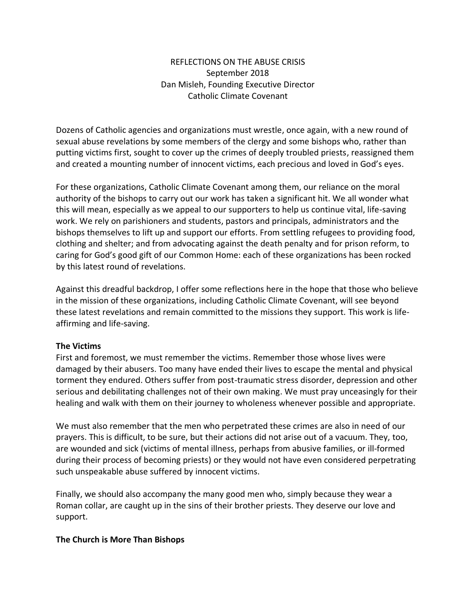## REFLECTIONS ON THE ABUSE CRISIS September 2018 Dan Misleh, Founding Executive Director Catholic Climate Covenant

Dozens of Catholic agencies and organizations must wrestle, once again, with a new round of sexual abuse revelations by some members of the clergy and some bishops who, rather than putting victims first, sought to cover up the crimes of deeply troubled priests, reassigned them and created a mounting number of innocent victims, each precious and loved in God's eyes.

For these organizations, Catholic Climate Covenant among them, our reliance on the moral authority of the bishops to carry out our work has taken a significant hit. We all wonder what this will mean, especially as we appeal to our supporters to help us continue vital, life-saving work. We rely on parishioners and students, pastors and principals, administrators and the bishops themselves to lift up and support our efforts. From settling refugees to providing food, clothing and shelter; and from advocating against the death penalty and for prison reform, to caring for God's good gift of our Common Home: each of these organizations has been rocked by this latest round of revelations.

Against this dreadful backdrop, I offer some reflections here in the hope that those who believe in the mission of these organizations, including Catholic Climate Covenant, will see beyond these latest revelations and remain committed to the missions they support. This work is lifeaffirming and life-saving.

## **The Victims**

First and foremost, we must remember the victims. Remember those whose lives were damaged by their abusers. Too many have ended their lives to escape the mental and physical torment they endured. Others suffer from post-traumatic stress disorder, depression and other serious and debilitating challenges not of their own making. We must pray unceasingly for their healing and walk with them on their journey to wholeness whenever possible and appropriate.

We must also remember that the men who perpetrated these crimes are also in need of our prayers. This is difficult, to be sure, but their actions did not arise out of a vacuum. They, too, are wounded and sick (victims of mental illness, perhaps from abusive families, or ill-formed during their process of becoming priests) or they would not have even considered perpetrating such unspeakable abuse suffered by innocent victims.

Finally, we should also accompany the many good men who, simply because they wear a Roman collar, are caught up in the sins of their brother priests. They deserve our love and support.

#### **The Church is More Than Bishops**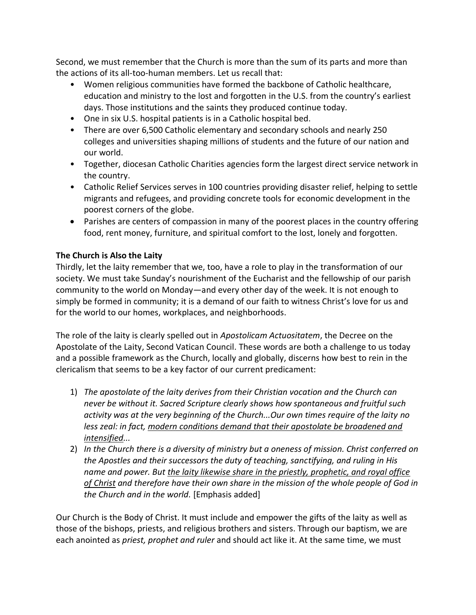Second, we must remember that the Church is more than the sum of its parts and more than the actions of its all-too-human members. Let us recall that:

- Women religious communities have formed the backbone of Catholic healthcare, education and ministry to the lost and forgotten in the U.S. from the country's earliest days. Those institutions and the saints they produced continue today.
- One in six U.S. hospital patients is in a Catholic hospital bed.
- There are over 6,500 Catholic elementary and secondary schools and nearly 250 colleges and universities shaping millions of students and the future of our nation and our world.
- Together, diocesan Catholic Charities agencies form the largest direct service network in the country.
- Catholic Relief Services serves in 100 countries providing disaster relief, helping to settle migrants and refugees, and providing concrete tools for economic development in the poorest corners of the globe.
- Parishes are centers of compassion in many of the poorest places in the country offering food, rent money, furniture, and spiritual comfort to the lost, lonely and forgotten.

# **The Church is Also the Laity**

Thirdly, let the laity remember that we, too, have a role to play in the transformation of our society. We must take Sunday's nourishment of the Eucharist and the fellowship of our parish community to the world on Monday—and every other day of the week. It is not enough to simply be formed in community; it is a demand of our faith to witness Christ's love for us and for the world to our homes, workplaces, and neighborhoods.

The role of the laity is clearly spelled out in *Apostolicam Actuositatem*, the Decree on the Apostolate of the Laity, Second Vatican Council. These words are both a challenge to us today and a possible framework as the Church, locally and globally, discerns how best to rein in the clericalism that seems to be a key factor of our current predicament:

- 1) *The apostolate of the laity derives from their Christian vocation and the Church can never be without it. Sacred Scripture clearly shows how spontaneous and fruitful such activity was at the very beginning of the Church...Our own times require of the laity no less zeal: in fact, modern conditions demand that their apostolate be broadened and intensified...*
- 2) *In the Church there is a diversity of ministry but a oneness of mission. Christ conferred on the Apostles and their successors the duty of teaching, sanctifying, and ruling in His name and power. But the laity likewise share in the priestly, prophetic, and royal office of Christ and therefore have their own share in the mission of the whole people of God in the Church and in the world.* [Emphasis added]

Our Church is the Body of Christ. It must include and empower the gifts of the laity as well as those of the bishops, priests, and religious brothers and sisters. Through our baptism, we are each anointed as *priest, prophet and ruler* and should act like it. At the same time, we must